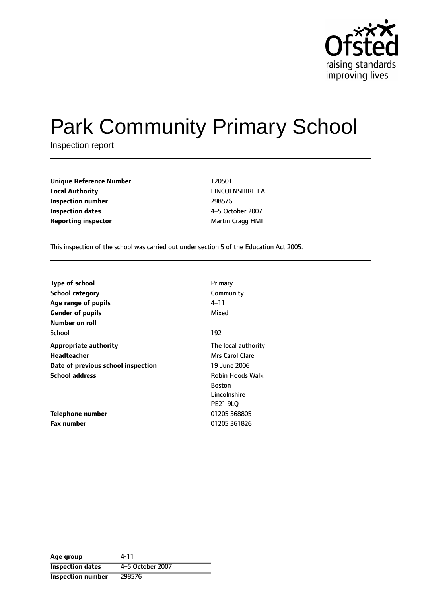

# Park Community Primary School

Inspection report

**Unique Reference Number** 120501 **Local Authority** LINCOLNSHIRE LA **Inspection number** 298576 **Inspection dates** 4-5 October 2007 **Reporting inspector** Martin Cragg HMI

This inspection of the school was carried out under section 5 of the Education Act 2005.

| <b>Type of school</b>              | Primary             |
|------------------------------------|---------------------|
| <b>School category</b>             | Community           |
| Age range of pupils                | 4–11                |
| <b>Gender of pupils</b>            | Mixed               |
| Number on roll                     |                     |
| School                             | 192                 |
| <b>Appropriate authority</b>       | The local authority |
| Headteacher                        | Mrs Carol Clare     |
| Date of previous school inspection | 19 June 2006        |
| <b>School address</b>              | Robin Hoods Walk    |
|                                    | <b>Boston</b>       |
|                                    | Lincolnshire        |
|                                    | <b>PE21 9LO</b>     |
| <b>Telephone number</b>            | 01205 368805        |
| <b>Fax number</b>                  | 01205 361826        |

**Age group** 4-11 **Inspection dates** 4-5 October 2007 **Inspection number** 298576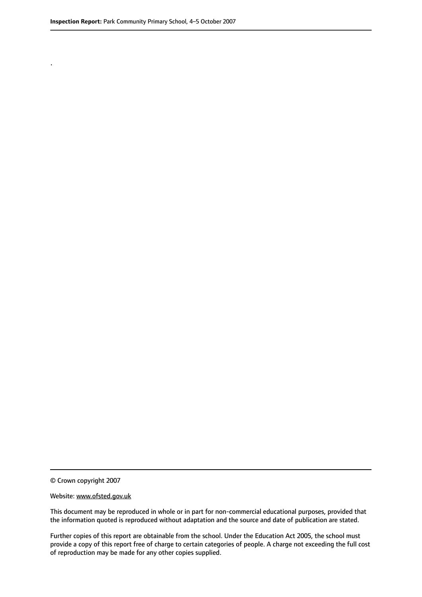.

© Crown copyright 2007

#### Website: www.ofsted.gov.uk

This document may be reproduced in whole or in part for non-commercial educational purposes, provided that the information quoted is reproduced without adaptation and the source and date of publication are stated.

Further copies of this report are obtainable from the school. Under the Education Act 2005, the school must provide a copy of this report free of charge to certain categories of people. A charge not exceeding the full cost of reproduction may be made for any other copies supplied.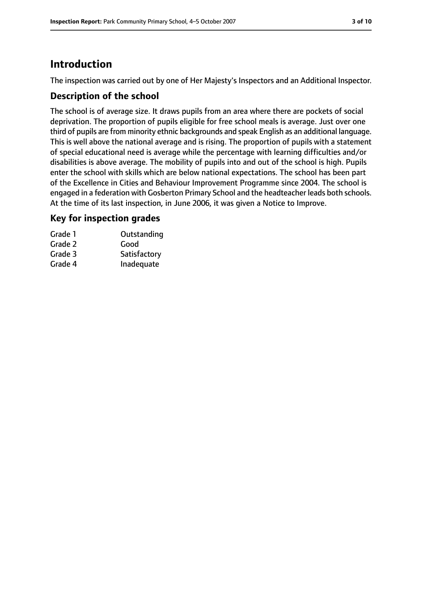## **Introduction**

The inspection was carried out by one of Her Majesty's Inspectors and an Additional Inspector.

#### **Description of the school**

The school is of average size. It draws pupils from an area where there are pockets of social deprivation. The proportion of pupils eligible for free school meals is average. Just over one third of pupils are from minority ethnic backgrounds and speak English as an additional language. This is well above the national average and is rising. The proportion of pupils with a statement of special educational need is average while the percentage with learning difficulties and/or disabilities is above average. The mobility of pupils into and out of the school is high. Pupils enter the school with skills which are below national expectations. The school has been part of the Excellence in Cities and Behaviour Improvement Programme since 2004. The school is engaged in a federation with Gosberton Primary School and the headteacher leads both schools. At the time of its last inspection, in June 2006, it was given a Notice to Improve.

#### **Key for inspection grades**

| Grade 1 | Outstanding  |
|---------|--------------|
| Grade 2 | Good         |
| Grade 3 | Satisfactory |
| Grade 4 | Inadequate   |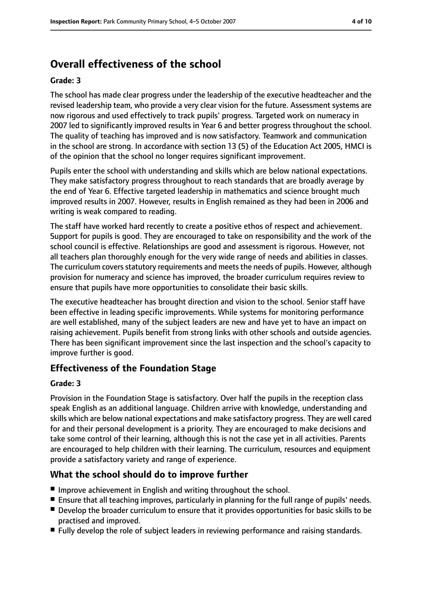# **Overall effectiveness of the school**

#### **Grade: 3**

The school has made clear progress under the leadership of the executive headteacher and the revised leadership team, who provide a very clear vision for the future. Assessment systems are now rigorous and used effectively to track pupils' progress. Targeted work on numeracy in 2007 led to significantly improved results in Year 6 and better progress throughout the school. The quality of teaching has improved and is now satisfactory. Teamwork and communication in the school are strong. In accordance with section 13 (5) of the Education Act 2005, HMCI is of the opinion that the school no longer requires significant improvement.

Pupils enter the school with understanding and skills which are below national expectations. They make satisfactory progress throughout to reach standards that are broadly average by the end of Year 6. Effective targeted leadership in mathematics and science brought much improved results in 2007. However, results in English remained as they had been in 2006 and writing is weak compared to reading.

The staff have worked hard recently to create a positive ethos of respect and achievement. Support for pupils is good. They are encouraged to take on responsibility and the work of the school council is effective. Relationships are good and assessment is rigorous. However, not all teachers plan thoroughly enough for the very wide range of needs and abilities in classes. The curriculum covers statutory requirements and meets the needs of pupils. However, although provision for numeracy and science has improved, the broader curriculum requires review to ensure that pupils have more opportunities to consolidate their basic skills.

The executive headteacher has brought direction and vision to the school. Senior staff have been effective in leading specific improvements. While systems for monitoring performance are well established, many of the subject leaders are new and have yet to have an impact on raising achievement. Pupils benefit from strong links with other schools and outside agencies. There has been significant improvement since the last inspection and the school's capacity to improve further is good.

#### **Effectiveness of the Foundation Stage**

#### **Grade: 3**

Provision in the Foundation Stage is satisfactory. Over half the pupils in the reception class speak English as an additional language. Children arrive with knowledge, understanding and skills which are below national expectations and make satisfactory progress. They are well cared for and their personal development is a priority. They are encouraged to make decisions and take some control of their learning, although this is not the case yet in all activities. Parents are encouraged to help children with their learning. The curriculum, resources and equipment provide a satisfactory variety and range of experience.

### **What the school should do to improve further**

- Improve achievement in English and writing throughout the school.
- Ensure that all teaching improves, particularly in planning for the full range of pupils' needs.
- Develop the broader curriculum to ensure that it provides opportunities for basic skills to be practised and improved.
- Fully develop the role of subject leaders in reviewing performance and raising standards.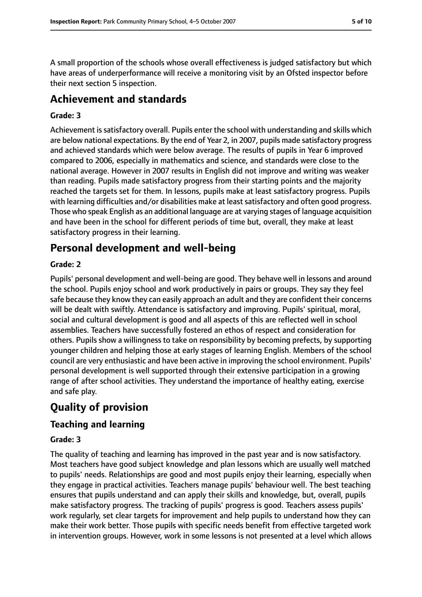A small proportion of the schools whose overall effectiveness is judged satisfactory but which have areas of underperformance will receive a monitoring visit by an Ofsted inspector before their next section 5 inspection.

## **Achievement and standards**

#### **Grade: 3**

Achievement is satisfactory overall. Pupils enter the school with understanding and skills which are below national expectations. By the end of Year 2, in 2007, pupils made satisfactory progress and achieved standards which were below average. The results of pupils in Year 6 improved compared to 2006, especially in mathematics and science, and standards were close to the national average. However in 2007 results in English did not improve and writing was weaker than reading. Pupils made satisfactory progress from their starting points and the majority reached the targets set for them. In lessons, pupils make at least satisfactory progress. Pupils with learning difficulties and/or disabilities make at least satisfactory and often good progress. Those who speak English as an additional language are at varying stages of language acquisition and have been in the school for different periods of time but, overall, they make at least satisfactory progress in their learning.

## **Personal development and well-being**

#### **Grade: 2**

Pupils' personal development and well-being are good. They behave well in lessons and around the school. Pupils enjoy school and work productively in pairs or groups. They say they feel safe because they know they can easily approach an adult and they are confident their concerns will be dealt with swiftly. Attendance is satisfactory and improving. Pupils' spiritual, moral, social and cultural development is good and all aspects of this are reflected well in school assemblies. Teachers have successfully fostered an ethos of respect and consideration for others. Pupils show a willingness to take on responsibility by becoming prefects, by supporting younger children and helping those at early stages of learning English. Members of the school council are very enthusiastic and have been active in improving the school environment. Pupils' personal development is well supported through their extensive participation in a growing range of after school activities. They understand the importance of healthy eating, exercise and safe play.

# **Quality of provision**

### **Teaching and learning**

#### **Grade: 3**

The quality of teaching and learning has improved in the past year and is now satisfactory. Most teachers have good subject knowledge and plan lessons which are usually well matched to pupils' needs. Relationships are good and most pupils enjoy their learning, especially when they engage in practical activities. Teachers manage pupils' behaviour well. The best teaching ensures that pupils understand and can apply their skills and knowledge, but, overall, pupils make satisfactory progress. The tracking of pupils' progress is good. Teachers assess pupils' work regularly, set clear targets for improvement and help pupils to understand how they can make their work better. Those pupils with specific needs benefit from effective targeted work in intervention groups. However, work in some lessons is not presented at a level which allows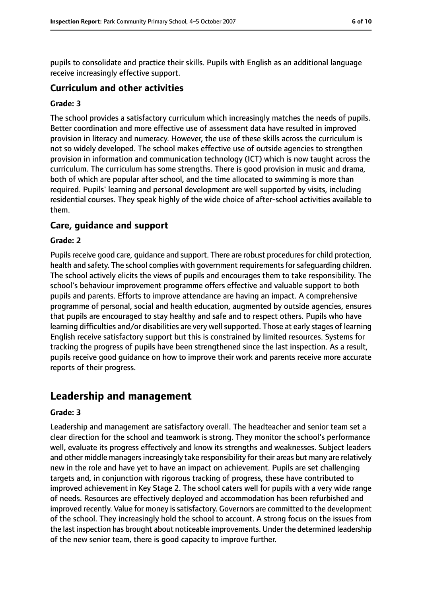pupils to consolidate and practice their skills. Pupils with English as an additional language receive increasingly effective support.

#### **Curriculum and other activities**

#### **Grade: 3**

The school provides a satisfactory curriculum which increasingly matches the needs of pupils. Better coordination and more effective use of assessment data have resulted in improved provision in literacy and numeracy. However, the use of these skills across the curriculum is not so widely developed. The school makes effective use of outside agencies to strengthen provision in information and communication technology (ICT) which is now taught across the curriculum. The curriculum has some strengths. There is good provision in music and drama, both of which are popular after school, and the time allocated to swimming is more than required. Pupils' learning and personal development are well supported by visits, including residential courses. They speak highly of the wide choice of after-school activities available to them.

#### **Care, guidance and support**

#### **Grade: 2**

Pupils receive good care, quidance and support. There are robust procedures for child protection, health and safety. The school complies with government requirements for safeguarding children. The school actively elicits the views of pupils and encourages them to take responsibility. The school's behaviour improvement programme offers effective and valuable support to both pupils and parents. Efforts to improve attendance are having an impact. A comprehensive programme of personal, social and health education, augmented by outside agencies, ensures that pupils are encouraged to stay healthy and safe and to respect others. Pupils who have learning difficulties and/or disabilities are very well supported. Those at early stages of learning English receive satisfactory support but this is constrained by limited resources. Systems for tracking the progress of pupils have been strengthened since the last inspection. As a result, pupils receive good guidance on how to improve their work and parents receive more accurate reports of their progress.

## **Leadership and management**

#### **Grade: 3**

Leadership and management are satisfactory overall. The headteacher and senior team set a clear direction for the school and teamwork is strong. They monitor the school's performance well, evaluate its progress effectively and know its strengths and weaknesses. Subject leaders and other middle managers increasingly take responsibility for their areas but many are relatively new in the role and have yet to have an impact on achievement. Pupils are set challenging targets and, in conjunction with rigorous tracking of progress, these have contributed to improved achievement in Key Stage 2. The school caters well for pupils with a very wide range of needs. Resources are effectively deployed and accommodation has been refurbished and improved recently. Value for money issatisfactory. Governors are committed to the development of the school. They increasingly hold the school to account. A strong focus on the issues from the last inspection has brought about noticeable improvements. Under the determined leadership of the new senior team, there is good capacity to improve further.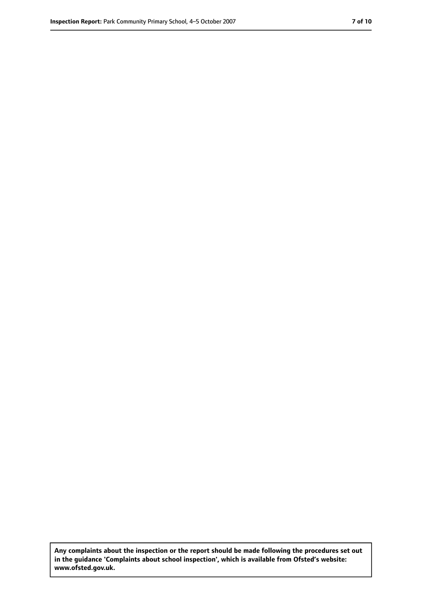**Any complaints about the inspection or the report should be made following the procedures set out in the guidance 'Complaints about school inspection', which is available from Ofsted's website: www.ofsted.gov.uk.**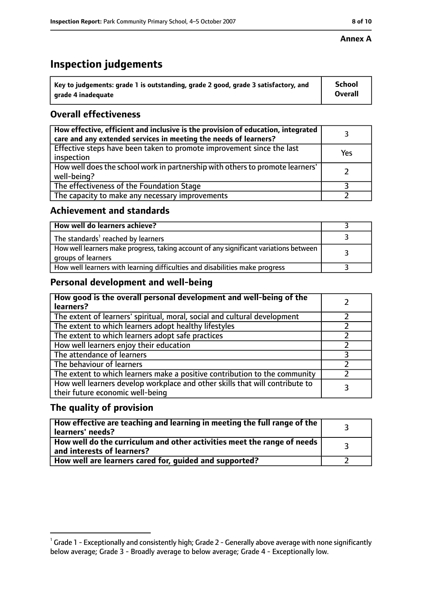## **Inspection judgements**

| $^{\backprime}$ Key to judgements: grade 1 is outstanding, grade 2 good, grade 3 satisfactory, and | <b>School</b>  |
|----------------------------------------------------------------------------------------------------|----------------|
| arade 4 inadeguate                                                                                 | <b>Overall</b> |

## **Overall effectiveness**

| How effective, efficient and inclusive is the provision of education, integrated<br>care and any extended services in meeting the needs of learners? |     |
|------------------------------------------------------------------------------------------------------------------------------------------------------|-----|
| Effective steps have been taken to promote improvement since the last<br>inspection                                                                  | Yes |
| How well does the school work in partnership with others to promote learners'<br>well-being?                                                         |     |
| The effectiveness of the Foundation Stage                                                                                                            |     |
| The capacity to make any necessary improvements                                                                                                      |     |

#### **Achievement and standards**

| How well do learners achieve?                                                                               |  |
|-------------------------------------------------------------------------------------------------------------|--|
| The standards <sup>1</sup> reached by learners                                                              |  |
| How well learners make progress, taking account of any significant variations between<br>groups of learners |  |
| How well learners with learning difficulties and disabilities make progress                                 |  |

### **Personal development and well-being**

| How good is the overall personal development and well-being of the<br>learners?                                  |  |
|------------------------------------------------------------------------------------------------------------------|--|
| The extent of learners' spiritual, moral, social and cultural development                                        |  |
| The extent to which learners adopt healthy lifestyles                                                            |  |
| The extent to which learners adopt safe practices                                                                |  |
| How well learners enjoy their education                                                                          |  |
| The attendance of learners                                                                                       |  |
| The behaviour of learners                                                                                        |  |
| The extent to which learners make a positive contribution to the community                                       |  |
| How well learners develop workplace and other skills that will contribute to<br>their future economic well-being |  |

### **The quality of provision**

| How effective are teaching and learning in meeting the full range of the<br>learners' needs?          |  |
|-------------------------------------------------------------------------------------------------------|--|
| How well do the curriculum and other activities meet the range of needs<br>and interests of learners? |  |
| How well are learners cared for, guided and supported?                                                |  |

 $^1$  Grade 1 - Exceptionally and consistently high; Grade 2 - Generally above average with none significantly below average; Grade 3 - Broadly average to below average; Grade 4 - Exceptionally low.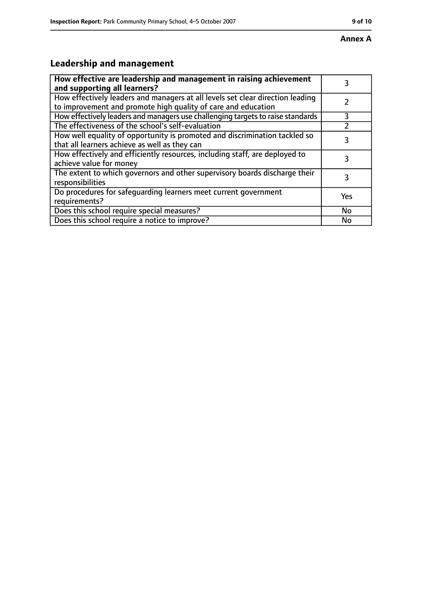# **Leadership and management**

| How effective are leadership and management in raising achievement<br>and supporting all learners?                                              | 3         |
|-------------------------------------------------------------------------------------------------------------------------------------------------|-----------|
| How effectively leaders and managers at all levels set clear direction leading<br>to improvement and promote high quality of care and education |           |
| How effectively leaders and managers use challenging targets to raise standards                                                                 | 3         |
| The effectiveness of the school's self-evaluation                                                                                               |           |
| How well equality of opportunity is promoted and discrimination tackled so<br>that all learners achieve as well as they can                     | 3         |
| How effectively and efficiently resources, including staff, are deployed to<br>achieve value for money                                          | 3         |
| The extent to which governors and other supervisory boards discharge their<br>responsibilities                                                  | 3         |
| Do procedures for safequarding learners meet current government<br>requirements?                                                                | Yes       |
| Does this school require special measures?                                                                                                      | <b>No</b> |
| Does this school require a notice to improve?                                                                                                   | No        |